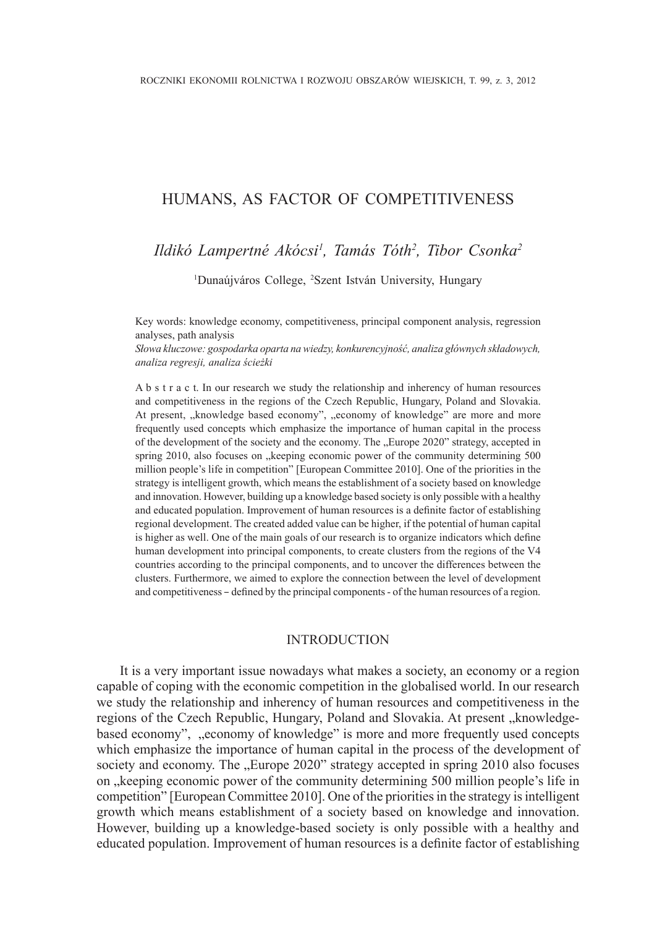## humans, as factor of competitiveness

# *Ildikó Lampertné Akócsi1 , Tamás Tóth2 , Tibor Csonka<sup>2</sup>*

<sup>1</sup>Dunaújváros College, <sup>2</sup>Szent István University, Hungary

Key words: knowledge economy, competitiveness, principal component analysis, regression analyses, path analysis

*Słowa kluczowe: gospodarka oparta na wiedzy, konkurencyjność, analiza głównych składowych, analiza regresji, analiza ścieżki*

A b s t r a c t. In our research we study the relationship and inherency of human resources and competitiveness in the regions of the Czech Republic, Hungary, Poland and Slovakia. At present, "knowledge based economy", "economy of knowledge" are more and more frequently used concepts which emphasize the importance of human capital in the process of the development of the society and the economy. The "Europe 2020" strategy, accepted in spring 2010, also focuses on "keeping economic power of the community determining 500 million people's life in competition" [European Committee 2010]. One of the priorities in the strategy is intelligent growth, which means the establishment of a society based on knowledge and innovation. However, building up a knowledge based society is only possible with a healthy and educated population. Improvement of human resources is a definite factor of establishing regional development. The created added value can be higher, if the potential of human capital is higher as well. One of the main goals of our research is to organize indicators which define human development into principal components, to create clusters from the regions of the V4 countries according to the principal components, and to uncover the differences between the clusters. Furthermore, we aimed to explore the connection between the level of development and competitiveness – defined by the principal components - of the human resources of a region.

## INTRODUCTION

It is a very important issue nowadays what makes a society, an economy or a region capable of coping with the economic competition in the globalised world. In our research we study the relationship and inherency of human resources and competitiveness in the regions of the Czech Republic, Hungary, Poland and Slovakia. At present "knowledgebased economy", "economy of knowledge" is more and more frequently used concepts which emphasize the importance of human capital in the process of the development of society and economy. The "Europe 2020" strategy accepted in spring 2010 also focuses on "keeping economic power of the community determining 500 million people's life in competition" [European Committee 2010]. One of the priorities in the strategy is intelligent growth which means establishment of a society based on knowledge and innovation. However, building up a knowledge-based society is only possible with a healthy and educated population. Improvement of human resources is a definite factor of establishing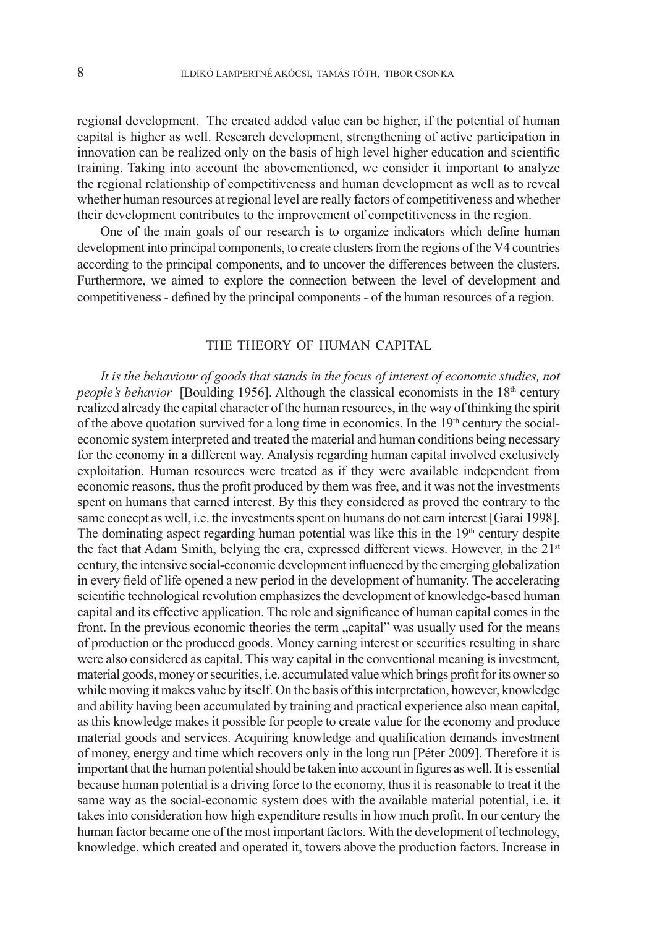regional development. The created added value can be higher, if the potential of human capital is higher as well. Research development, strengthening of active participation in innovation can be realized only on the basis of high level higher education and scientific training. Taking into account the abovementioned, we consider it important to analyze the regional relationship of competitiveness and human development as well as to reveal whether human resources at regional level are really factors of competitiveness and whether their development contributes to the improvement of competitiveness in the region.

One of the main goals of our research is to organize indicators which define human development into principal components, to create clusters from the regions of the V4 countries according to the principal components, and to uncover the differences between the clusters. Furthermore, we aimed to explore the connection between the level of development and competitiveness - defined by the principal components - of the human resources of a region.

#### THE THEORY OF HUMAN CAPITAL

*It is the behaviour of goods that stands in the focus of interest of economic studies, not people's behavior* [Boulding 1956]. Although the classical economists in the 18<sup>th</sup> century realized already the capital character of the human resources, in the way of thinking the spirit of the above quotation survived for a long time in economics. In the  $19<sup>th</sup>$  century the socialeconomic system interpreted and treated the material and human conditions being necessary for the economy in a different way. Analysis regarding human capital involved exclusively exploitation. Human resources were treated as if they were available independent from economic reasons, thus the profit produced by them was free, and it was not the investments spent on humans that earned interest. By this they considered as proved the contrary to the same concept as well, i.e. the investments spent on humans do not earn interest [Garai 1998]. The dominating aspect regarding human potential was like this in the  $19<sup>th</sup>$  century despite the fact that Adam Smith, belying the era, expressed different views. However, in the 21<sup>st</sup> century, the intensive social-economic development influenced by the emerging globalization in every field of life opened a new period in the development of humanity. The accelerating scientific technological revolution emphasizes the development of knowledge-based human capital and its effective application. The role and significance of human capital comes in the front. In the previous economic theories the term "capital" was usually used for the means of production or the produced goods. Money earning interest or securities resulting in share were also considered as capital. This way capital in the conventional meaning is investment, material goods, money or securities, i.e. accumulated value which brings profit for its owner so while moving it makes value by itself. On the basis of this interpretation, however, knowledge and ability having been accumulated by training and practical experience also mean capital, as this knowledge makes it possible for people to create value for the economy and produce material goods and services. Acquiring knowledge and qualification demands investment of money, energy and time which recovers only in the long run [Péter 2009]. Therefore it is important that the human potential should be taken into account in figures as well. It is essential because human potential is a driving force to the economy, thus it is reasonable to treat it the same way as the social-economic system does with the available material potential, i.e. it takes into consideration how high expenditure results in how much profit. In our century the human factor became one of the most important factors. With the development of technology, knowledge, which created and operated it, towers above the production factors. Increase in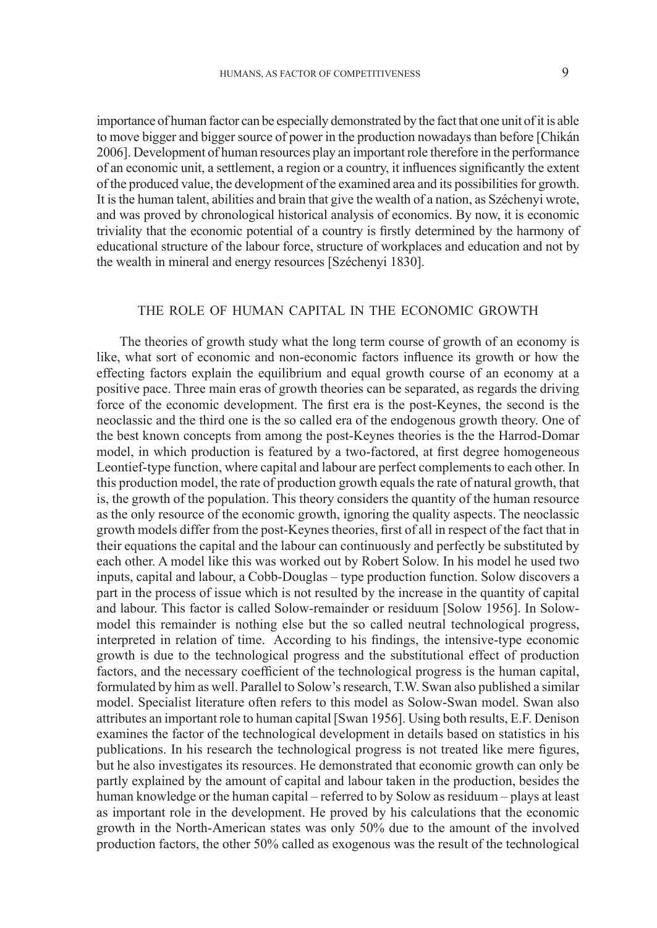importance of human factor can be especially demonstrated by the fact that one unit of it is able to move bigger and bigger source of power in the production nowadays than before [Chikán 2006]. Development of human resources play an important role therefore in the performance of an economic unit, a settlement, a region or a country, it influences significantly the extent of the produced value, the development of the examined area and its possibilities for growth. It is the human talent, abilities and brain that give the wealth of a nation, as Széchenyi wrote, and was proved by chronological historical analysis of economics. By now, it is economic triviality that the economic potential of a country is firstly determined by the harmony of educational structure of the labour force, structure of workplaces and education and not by the wealth in mineral and energy resources [Széchenyi 1830].

## The role of human capital in the economic growth

The theories of growth study what the long term course of growth of an economy is like, what sort of economic and non-economic factors influence its growth or how the effecting factors explain the equilibrium and equal growth course of an economy at a positive pace. Three main eras of growth theories can be separated, as regards the driving force of the economic development. The first era is the post-Keynes, the second is the neoclassic and the third one is the so called era of the endogenous growth theory. One of the best known concepts from among the post-Keynes theories is the the Harrod-Domar model, in which production is featured by a two-factored, at first degree homogeneous Leontief-type function, where capital and labour are perfect complements to each other. In this production model, the rate of production growth equals the rate of natural growth, that is, the growth of the population. This theory considers the quantity of the human resource as the only resource of the economic growth, ignoring the quality aspects. The neoclassic growth models differ from the post-Keynes theories, first of all in respect of the fact that in their equations the capital and the labour can continuously and perfectly be substituted by each other. A model like this was worked out by Robert Solow. In his model he used two inputs, capital and labour, a Cobb-Douglas – type production function. Solow discovers a part in the process of issue which is not resulted by the increase in the quantity of capital and labour. This factor is called Solow-remainder or residuum [Solow 1956]. In Solowmodel this remainder is nothing else but the so called neutral technological progress, interpreted in relation of time. According to his findings, the intensive-type economic growth is due to the technological progress and the substitutional effect of production factors, and the necessary coefficient of the technological progress is the human capital, formulated by him as well. Parallel to Solow's research, T.W. Swan also published a similar model. Specialist literature often refers to this model as Solow-Swan model. Swan also attributes an important role to human capital [Swan 1956]. Using both results, E.F. Denison examines the factor of the technological development in details based on statistics in his publications. In his research the technological progress is not treated like mere figures, but he also investigates its resources. He demonstrated that economic growth can only be partly explained by the amount of capital and labour taken in the production, besides the human knowledge or the human capital – referred to by Solow as residuum – plays at least as important role in the development. He proved by his calculations that the economic growth in the North-American states was only 50% due to the amount of the involved production factors, the other 50% called as exogenous was the result of the technological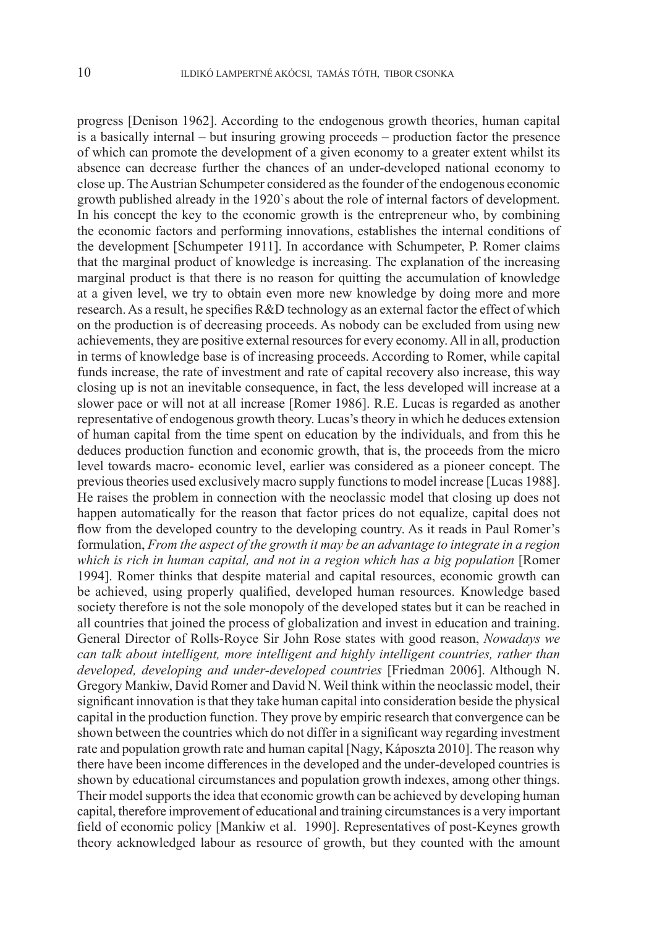progress [Denison 1962]. According to the endogenous growth theories, human capital is a basically internal – but insuring growing proceeds – production factor the presence of which can promote the development of a given economy to a greater extent whilst its absence can decrease further the chances of an under-developed national economy to close up. The Austrian Schumpeter considered as the founder of the endogenous economic growth published already in the 1920`s about the role of internal factors of development. In his concept the key to the economic growth is the entrepreneur who, by combining the economic factors and performing innovations, establishes the internal conditions of the development [Schumpeter 1911]. In accordance with Schumpeter, P. Romer claims that the marginal product of knowledge is increasing. The explanation of the increasing marginal product is that there is no reason for quitting the accumulation of knowledge at a given level, we try to obtain even more new knowledge by doing more and more research. As a result, he specifies R&D technology as an external factor the effect of which on the production is of decreasing proceeds. As nobody can be excluded from using new achievements, they are positive external resources for every economy. All in all, production in terms of knowledge base is of increasing proceeds. According to Romer, while capital funds increase, the rate of investment and rate of capital recovery also increase, this way closing up is not an inevitable consequence, in fact, the less developed will increase at a slower pace or will not at all increase [Romer 1986]. R.E. Lucas is regarded as another representative of endogenous growth theory. Lucas's theory in which he deduces extension of human capital from the time spent on education by the individuals, and from this he deduces production function and economic growth, that is, the proceeds from the micro level towards macro- economic level, earlier was considered as a pioneer concept. The previous theories used exclusively macro supply functions to model increase [Lucas 1988]. He raises the problem in connection with the neoclassic model that closing up does not happen automatically for the reason that factor prices do not equalize, capital does not flow from the developed country to the developing country. As it reads in Paul Romer's formulation, *From the aspect of the growth it may be an advantage to integrate in a region which is rich in human capital, and not in a region which has a big population* [Romer 1994]. Romer thinks that despite material and capital resources, economic growth can be achieved, using properly qualified, developed human resources. Knowledge based society therefore is not the sole monopoly of the developed states but it can be reached in all countries that joined the process of globalization and invest in education and training. General Director of Rolls-Royce Sir John Rose states with good reason, *Nowadays we can talk about intelligent, more intelligent and highly intelligent countries, rather than developed, developing and under-developed countries* [Friedman 2006]. Although N. Gregory Mankiw, David Romer and David N. Weil think within the neoclassic model, their significant innovation is that they take human capital into consideration beside the physical capital in the production function. They prove by empiric research that convergence can be shown between the countries which do not differ in a significant way regarding investment rate and population growth rate and human capital [Nagy, Káposzta 2010]. The reason why there have been income differences in the developed and the under-developed countries is shown by educational circumstances and population growth indexes, among other things. Their model supports the idea that economic growth can be achieved by developing human capital, therefore improvement of educational and training circumstances is a very important field of economic policy [Mankiw et al. 1990]. Representatives of post-Keynes growth theory acknowledged labour as resource of growth, but they counted with the amount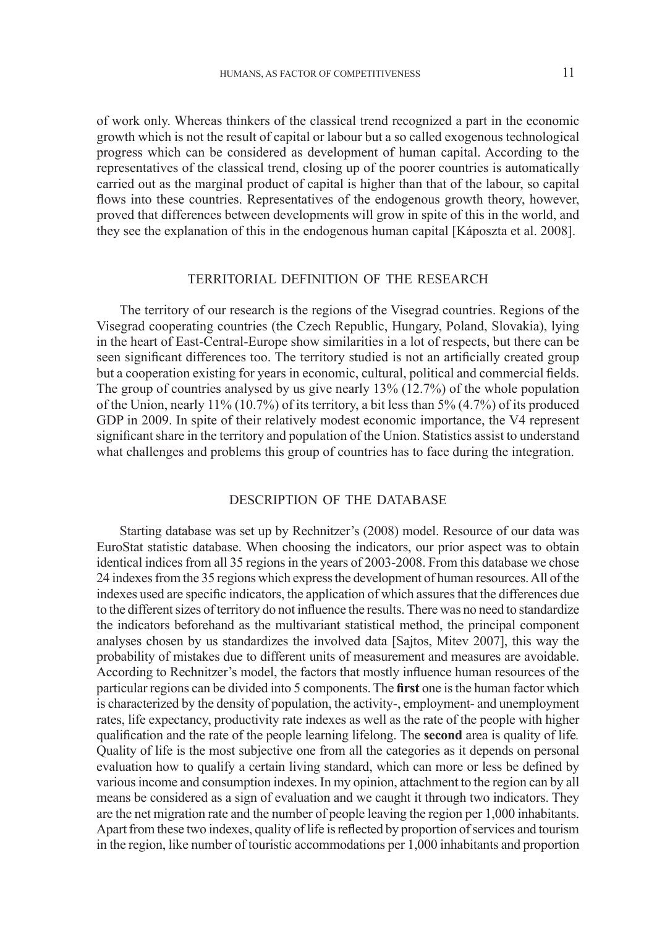of work only. Whereas thinkers of the classical trend recognized a part in the economic growth which is not the result of capital or labour but a so called exogenous technological progress which can be considered as development of human capital. According to the representatives of the classical trend, closing up of the poorer countries is automatically carried out as the marginal product of capital is higher than that of the labour, so capital flows into these countries. Representatives of the endogenous growth theory, however, proved that differences between developments will grow in spite of this in the world, and they see the explanation of this in the endogenous human capital [Káposzta et al. 2008].

## Territorial definition of the research

The territory of our research is the regions of the Visegrad countries. Regions of the Visegrad cooperating countries (the Czech Republic, Hungary, Poland, Slovakia), lying in the heart of East-Central-Europe show similarities in a lot of respects, but there can be seen significant differences too. The territory studied is not an artificially created group but a cooperation existing for years in economic, cultural, political and commercial fields. The group of countries analysed by us give nearly 13% (12.7%) of the whole population of the Union, nearly 11% (10.7%) of its territory, a bit less than 5% (4.7%) of its produced GDP in 2009. In spite of their relatively modest economic importance, the V4 represent significant share in the territory and population of the Union. Statistics assist to understand what challenges and problems this group of countries has to face during the integration.

## Description of the database

Starting database was set up by Rechnitzer's (2008) model. Resource of our data was EuroStat statistic database. When choosing the indicators, our prior aspect was to obtain identical indices from all 35 regions in the years of 2003-2008. From this database we chose 24 indexes from the 35 regions which express the development of human resources. All of the indexes used are specific indicators, the application of which assures that the differences due to the different sizes of territory do not influence the results. There was no need to standardize the indicators beforehand as the multivariant statistical method, the principal component analyses chosen by us standardizes the involved data [Sajtos, Mitev 2007], this way the probability of mistakes due to different units of measurement and measures are avoidable. According to Rechnitzer's model, the factors that mostly influence human resources of the particular regions can be divided into 5 components. The **first** one is the human factor which is characterized by the density of population, the activity-, employment- and unemployment rates, life expectancy, productivity rate indexes as well as the rate of the people with higher qualification and the rate of the people learning lifelong. The **second** area is quality of life*.* Quality of life is the most subjective one from all the categories as it depends on personal evaluation how to qualify a certain living standard, which can more or less be defined by various income and consumption indexes. In my opinion, attachment to the region can by all means be considered as a sign of evaluation and we caught it through two indicators. They are the net migration rate and the number of people leaving the region per 1,000 inhabitants. Apart from these two indexes, quality of life is reflected by proportion of services and tourism in the region, like number of touristic accommodations per 1,000 inhabitants and proportion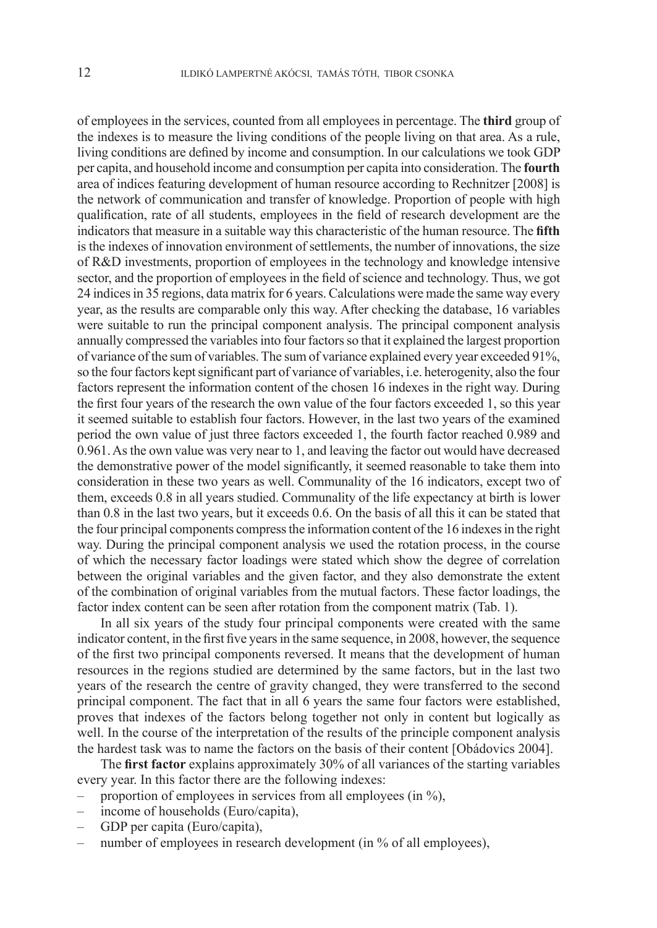of employees in the services, counted from all employees in percentage. The **third** group of the indexes is to measure the living conditions of the people living on that area. As a rule, living conditions are defined by income and consumption. In our calculations we took GDP per capita, and household income and consumption per capita into consideration. The **fourth** area of indices featuring development of human resource according to Rechnitzer [2008] is the network of communication and transfer of knowledge. Proportion of people with high qualification, rate of all students, employees in the field of research development are the indicators that measure in a suitable way this characteristic of the human resource. The **fifth** is the indexes of innovation environment of settlements, the number of innovations, the size of R&D investments, proportion of employees in the technology and knowledge intensive sector, and the proportion of employees in the field of science and technology. Thus, we got 24 indices in 35 regions, data matrix for 6 years. Calculations were made the same way every year, as the results are comparable only this way. After checking the database, 16 variables were suitable to run the principal component analysis. The principal component analysis annually compressed the variables into four factors so that it explained the largest proportion of variance of the sum of variables. The sum of variance explained every year exceeded 91%, so the four factors kept significant part of variance of variables, i.e. heterogenity, also the four factors represent the information content of the chosen 16 indexes in the right way. During the first four years of the research the own value of the four factors exceeded 1, so this year it seemed suitable to establish four factors. However, in the last two years of the examined period the own value of just three factors exceeded 1, the fourth factor reached 0.989 and 0.961. As the own value was very near to 1, and leaving the factor out would have decreased the demonstrative power of the model significantly, it seemed reasonable to take them into consideration in these two years as well. Communality of the 16 indicators, except two of them, exceeds 0.8 in all years studied. Communality of the life expectancy at birth is lower than 0.8 in the last two years, but it exceeds 0.6. On the basis of all this it can be stated that the four principal components compress the information content of the 16 indexes in the right way. During the principal component analysis we used the rotation process, in the course of which the necessary factor loadings were stated which show the degree of correlation between the original variables and the given factor, and they also demonstrate the extent of the combination of original variables from the mutual factors. These factor loadings, the factor index content can be seen after rotation from the component matrix (Tab. 1).

In all six years of the study four principal components were created with the same indicator content, in the first five years in the same sequence, in 2008, however, the sequence of the first two principal components reversed. It means that the development of human resources in the regions studied are determined by the same factors, but in the last two years of the research the centre of gravity changed, they were transferred to the second principal component. The fact that in all 6 years the same four factors were established, proves that indexes of the factors belong together not only in content but logically as well. In the course of the interpretation of the results of the principle component analysis the hardest task was to name the factors on the basis of their content [Obádovics 2004].

The **first factor** explains approximately 30% of all variances of the starting variables every year. In this factor there are the following indexes:

- proportion of employees in services from all employees (in %),
- income of households (Euro/capita),
- GDP per capita (Euro/capita),
- number of employees in research development (in % of all employees),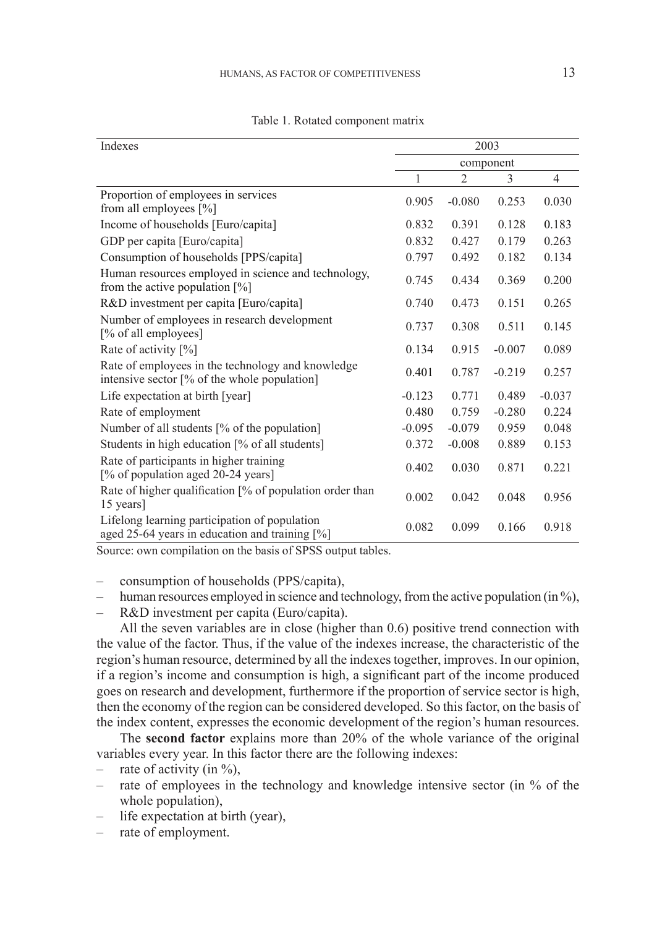| Indexes                                                                                           | 2003      |                |          |                |
|---------------------------------------------------------------------------------------------------|-----------|----------------|----------|----------------|
|                                                                                                   | component |                |          |                |
|                                                                                                   | 1         | $\overline{2}$ | 3        | $\overline{4}$ |
| Proportion of employees in services<br>from all employees [%]                                     | 0.905     | $-0.080$       | 0.253    | 0.030          |
| Income of households [Euro/capita]                                                                | 0.832     | 0.391          | 0.128    | 0.183          |
| GDP per capita [Euro/capita]                                                                      | 0.832     | 0.427          | 0.179    | 0.263          |
| Consumption of households [PPS/capita]                                                            | 0.797     | 0.492          | 0.182    | 0.134          |
| Human resources employed in science and technology,<br>from the active population $[%]$           | 0.745     | 0.434          | 0.369    | 0.200          |
| R&D investment per capita [Euro/capita]                                                           | 0.740     | 0.473          | 0.151    | 0.265          |
| Number of employees in research development<br>[% of all employees]                               | 0.737     | 0.308          | 0.511    | 0.145          |
| Rate of activity [%]                                                                              | 0.134     | 0.915          | $-0.007$ | 0.089          |
| Rate of employees in the technology and knowledge<br>intensive sector [% of the whole population] | 0.401     | 0.787          | $-0.219$ | 0.257          |
| Life expectation at birth [year]                                                                  | $-0.123$  | 0.771          | 0.489    | $-0.037$       |
| Rate of employment                                                                                | 0.480     | 0.759          | $-0.280$ | 0.224          |
| Number of all students [% of the population]                                                      | $-0.095$  | $-0.079$       | 0.959    | 0.048          |
| Students in high education [% of all students]                                                    | 0.372     | $-0.008$       | 0.889    | 0.153          |
| Rate of participants in higher training<br>[% of population aged 20-24 years]                     | 0.402     | 0.030          | 0.871    | 0.221          |
| Rate of higher qualification [% of population order than<br>15 years]                             | 0.002     | 0.042          | 0.048    | 0.956          |
| Lifelong learning participation of population<br>aged 25-64 years in education and training [%]   | 0.082     | 0.099          | 0.166    | 0.918          |

Table 1. Rotated component matrix

Source: own compilation on the basis of SPSS output tables.

– consumption of households (PPS/capita),

- human resources employed in science and technology, from the active population (in %),
- R&D investment per capita (Euro/capita).

All the seven variables are in close (higher than 0.6) positive trend connection with the value of the factor. Thus, if the value of the indexes increase, the characteristic of the region's human resource, determined by all the indexes together, improves. In our opinion, if a region's income and consumption is high, a significant part of the income produced goes on research and development, furthermore if the proportion of service sector is high, then the economy of the region can be considered developed. So this factor, on the basis of the index content, expresses the economic development of the region's human resources.

The **second factor** explains more than 20% of the whole variance of the original variables every year. In this factor there are the following indexes:

- rate of activity (in  $\%$ ),
- rate of employees in the technology and knowledge intensive sector (in % of the whole population),
- life expectation at birth (year),
- rate of employment.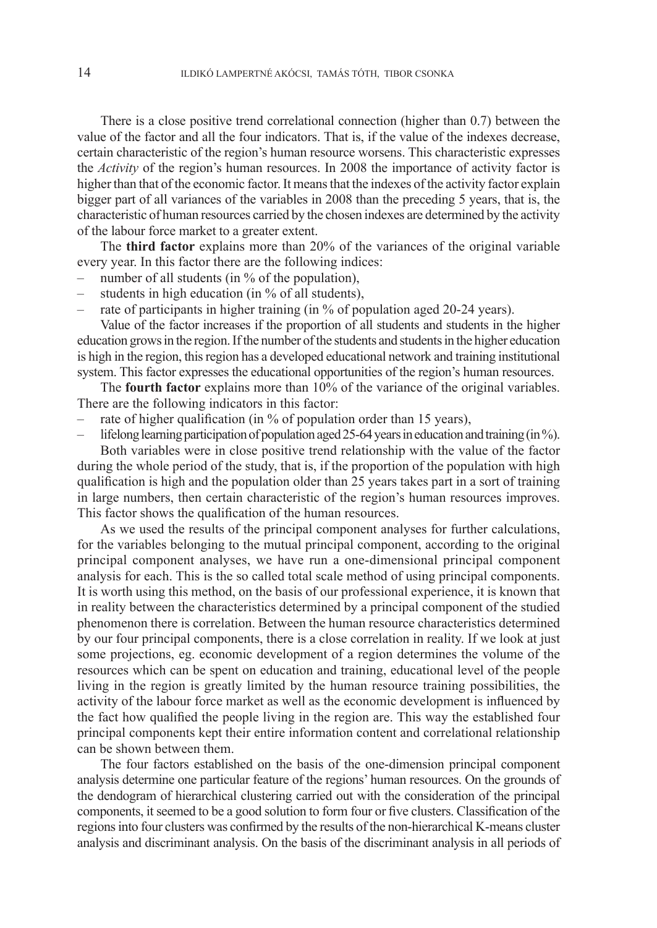There is a close positive trend correlational connection (higher than 0.7) between the value of the factor and all the four indicators. That is, if the value of the indexes decrease, certain characteristic of the region's human resource worsens. This characteristic expresses the *Activity* of the region's human resources. In 2008 the importance of activity factor is higher than that of the economic factor. It means that the indexes of the activity factor explain bigger part of all variances of the variables in 2008 than the preceding 5 years, that is, the characteristic of human resources carried by the chosen indexes are determined by the activity of the labour force market to a greater extent.

The **third factor** explains more than 20% of the variances of the original variable every year. In this factor there are the following indices:

- number of all students (in % of the population),
- students in high education (in % of all students),
- rate of participants in higher training (in % of population aged 20-24 years).

Value of the factor increases if the proportion of all students and students in the higher education grows in the region. If the number of the students and students in the higher education is high in the region, this region has a developed educational network and training institutional system. This factor expresses the educational opportunities of the region's human resources.

The **fourth factor** explains more than 10% of the variance of the original variables. There are the following indicators in this factor:

- rate of higher qualification (in % of population order than 15 years),
- lifelong learning participation of population aged 25-64 years in education and training (in %).

Both variables were in close positive trend relationship with the value of the factor during the whole period of the study, that is, if the proportion of the population with high qualification is high and the population older than 25 years takes part in a sort of training in large numbers, then certain characteristic of the region's human resources improves. This factor shows the qualification of the human resources.

As we used the results of the principal component analyses for further calculations, for the variables belonging to the mutual principal component, according to the original principal component analyses, we have run a one-dimensional principal component analysis for each. This is the so called total scale method of using principal components. It is worth using this method, on the basis of our professional experience, it is known that in reality between the characteristics determined by a principal component of the studied phenomenon there is correlation. Between the human resource characteristics determined by our four principal components, there is a close correlation in reality. If we look at just some projections, eg. economic development of a region determines the volume of the resources which can be spent on education and training, educational level of the people living in the region is greatly limited by the human resource training possibilities, the activity of the labour force market as well as the economic development is influenced by the fact how qualified the people living in the region are. This way the established four principal components kept their entire information content and correlational relationship can be shown between them.

The four factors established on the basis of the one-dimension principal component analysis determine one particular feature of the regions' human resources. On the grounds of the dendogram of hierarchical clustering carried out with the consideration of the principal components, it seemed to be a good solution to form four or five clusters. Classification of the regions into four clusters was confirmed by the results of the non-hierarchical K-means cluster analysis and discriminant analysis. On the basis of the discriminant analysis in all periods of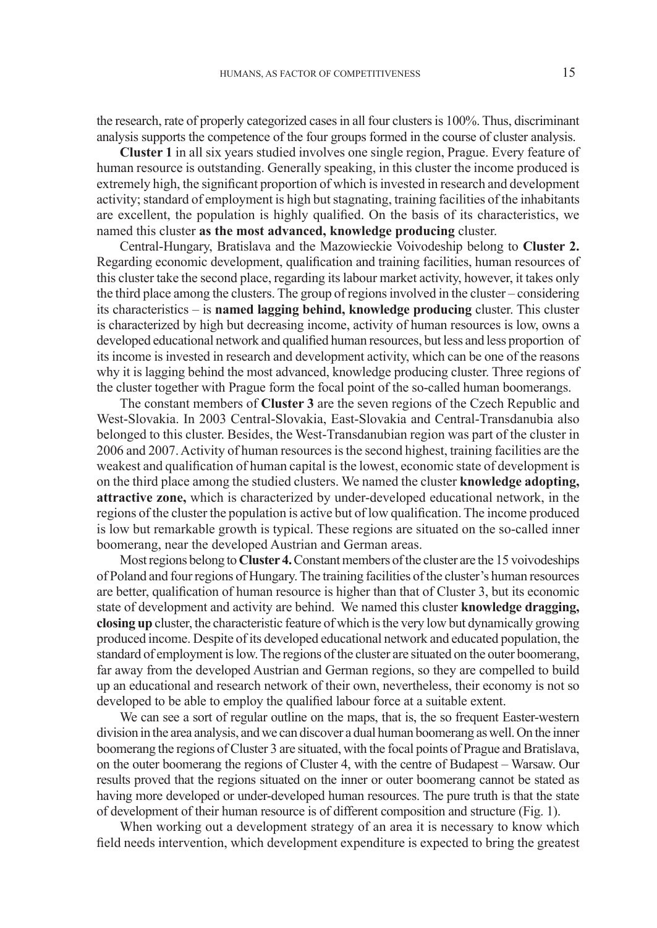the research, rate of properly categorized cases in all four clusters is 100%. Thus, discriminant analysis supports the competence of the four groups formed in the course of cluster analysis.

**Cluster 1** in all six years studied involves one single region, Prague. Every feature of human resource is outstanding. Generally speaking, in this cluster the income produced is extremely high, the significant proportion of which is invested in research and development activity; standard of employment is high but stagnating, training facilities of the inhabitants are excellent, the population is highly qualified. On the basis of its characteristics, we named this cluster **as the most advanced, knowledge producing** cluster.

Central-Hungary, Bratislava and the Mazowieckie Voivodeship belong to **Cluster 2.** Regarding economic development, qualification and training facilities, human resources of this cluster take the second place, regarding its labour market activity, however, it takes only the third place among the clusters. The group of regions involved in the cluster – considering its characteristics – is **named lagging behind, knowledge producing** cluster. This cluster is characterized by high but decreasing income, activity of human resources is low, owns a developed educational network and qualified human resources, but less and less proportion of its income is invested in research and development activity, which can be one of the reasons why it is lagging behind the most advanced, knowledge producing cluster. Three regions of the cluster together with Prague form the focal point of the so-called human boomerangs.

The constant members of **Cluster 3** are the seven regions of the Czech Republic and West-Slovakia. In 2003 Central-Slovakia, East-Slovakia and Central-Transdanubia also belonged to this cluster. Besides, the West-Transdanubian region was part of the cluster in 2006 and 2007. Activity of human resources is the second highest, training facilities are the weakest and qualification of human capital is the lowest, economic state of development is on the third place among the studied clusters. We named the cluster **knowledge adopting, attractive zone,** which is characterized by under-developed educational network, in the regions of the cluster the population is active but of low qualification. The income produced is low but remarkable growth is typical. These regions are situated on the so-called inner boomerang, near the developed Austrian and German areas.

Most regions belong to **Cluster 4.**Constant members of the cluster are the 15 voivodeships of Poland and four regions of Hungary. The training facilities of the cluster's human resources are better, qualification of human resource is higher than that of Cluster 3, but its economic state of development and activity are behind. We named this cluster **knowledge dragging, closing up** cluster, the characteristic feature of which is the very low but dynamically growing produced income. Despite of its developed educational network and educated population, the standard of employment is low. The regions of the cluster are situated on the outer boomerang, far away from the developed Austrian and German regions, so they are compelled to build up an educational and research network of their own, nevertheless, their economy is not so developed to be able to employ the qualified labour force at a suitable extent.

We can see a sort of regular outline on the maps, that is, the so frequent Easter-western division in the area analysis, and we can discover a dual human boomerang as well. On the inner boomerang the regions of Cluster 3 are situated, with the focal points of Prague and Bratislava, on the outer boomerang the regions of Cluster 4, with the centre of Budapest – Warsaw. Our results proved that the regions situated on the inner or outer boomerang cannot be stated as having more developed or under-developed human resources. The pure truth is that the state of development of their human resource is of different composition and structure (Fig. 1).

When working out a development strategy of an area it is necessary to know which field needs intervention, which development expenditure is expected to bring the greatest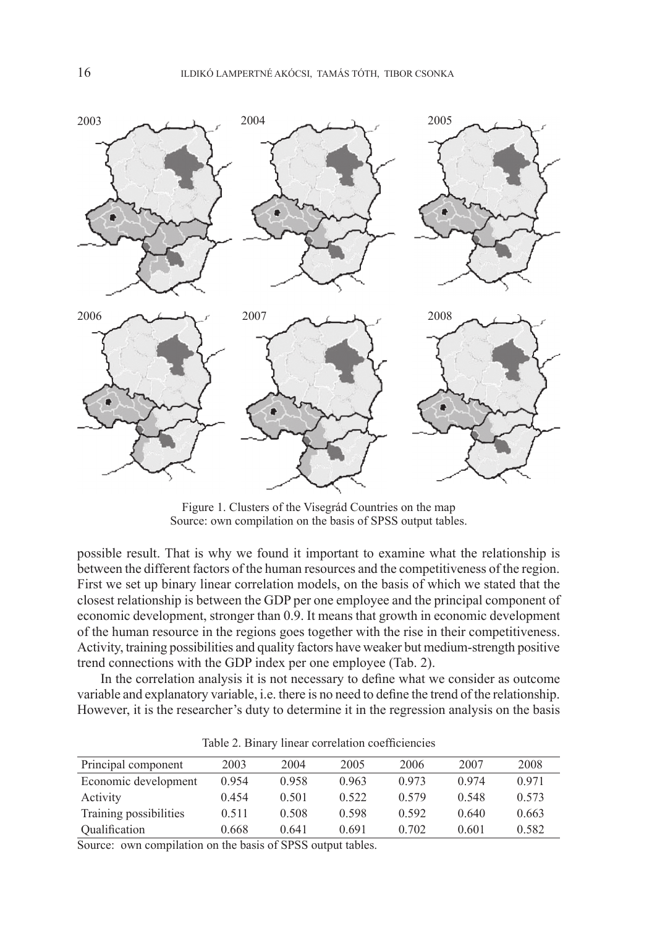

Figure 1. Clusters of the Visegrád Countries on the map Source: own compilation on the basis of SPSS output tables.

possible result. That is why we found it important to examine what the relationship is between the different factors of the human resources and the competitiveness of the region. First we set up binary linear correlation models, on the basis of which we stated that the closest relationship is between the GDP per one employee and the principal component of economic development, stronger than 0.9. It means that growth in economic development of the human resource in the regions goes together with the rise in their competitiveness. Activity, training possibilities and quality factors have weaker but medium-strength positive trend connections with the GDP index per one employee (Tab. 2).

In the correlation analysis it is not necessary to define what we consider as outcome variable and explanatory variable, i.e. there is no need to define the trend of the relationship. However, it is the researcher's duty to determine it in the regression analysis on the basis

| Principal component    | 2003  | 2004  | 2005  | 2006  | 2007  | 2008  |
|------------------------|-------|-------|-------|-------|-------|-------|
| Economic development   | 0.954 | 0.958 | 0.963 | 0.973 | 0.974 | 0.971 |
| Activity               | 0.454 | 0.501 | 0.522 | 0.579 | 0.548 | 0.573 |
| Training possibilities | 0.511 | 0.508 | 0.598 | 0.592 | 0.640 | 0.663 |
| Qualification          | 0.668 | 0.641 | 0.691 | 0.702 | 0.601 | 0.582 |

Table 2. Binary linear correlation coefficiencies

Source: own compilation on the basis of SPSS output tables.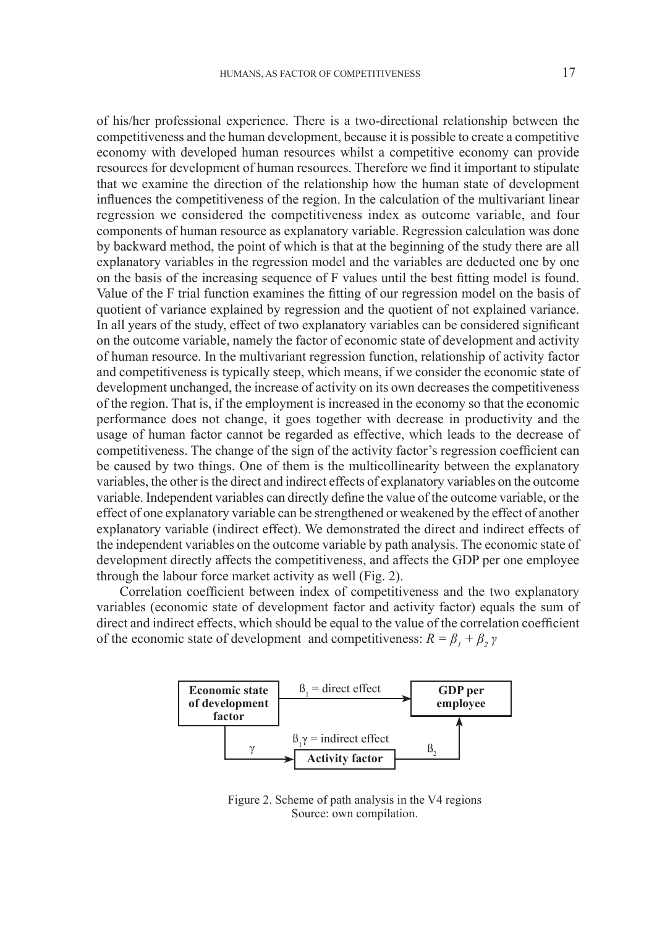of his/her professional experience. There is a two-directional relationship between the competitiveness and the human development, because it is possible to create a competitive economy with developed human resources whilst a competitive economy can provide resources for development of human resources. Therefore we find it important to stipulate that we examine the direction of the relationship how the human state of development influences the competitiveness of the region. In the calculation of the multivariant linear regression we considered the competitiveness index as outcome variable, and four components of human resource as explanatory variable. Regression calculation was done by backward method, the point of which is that at the beginning of the study there are all explanatory variables in the regression model and the variables are deducted one by one on the basis of the increasing sequence of F values until the best fitting model is found. Value of the F trial function examines the fitting of our regression model on the basis of quotient of variance explained by regression and the quotient of not explained variance. In all years of the study, effect of two explanatory variables can be considered significant on the outcome variable, namely the factor of economic state of development and activity of human resource. In the multivariant regression function, relationship of activity factor and competitiveness is typically steep, which means, if we consider the economic state of development unchanged, the increase of activity on its own decreases the competitiveness of the region. That is, if the employment is increased in the economy so that the economic performance does not change, it goes together with decrease in productivity and the usage of human factor cannot be regarded as effective, which leads to the decrease of competitiveness. The change of the sign of the activity factor's regression coefficient can be caused by two things. One of them is the multicollinearity between the explanatory variables, the other is the direct and indirect effects of explanatory variables on the outcome variable. Independent variables can directly define the value of the outcome variable, or the effect of one explanatory variable can be strengthened or weakened by the effect of another explanatory variable (indirect effect). We demonstrated the direct and indirect effects of the independent variables on the outcome variable by path analysis. The economic state of development directly affects the competitiveness, and affects the GDP per one employee through the labour force market activity as well (Fig. 2).

Correlation coefficient between index of competitiveness and the two explanatory variables (economic state of development factor and activity factor) equals the sum of direct and indirect effects, which should be equal to the value of the correlation coefficient of the economic state of development and competitiveness:  $R = \beta_1 + \beta_2 \gamma$ 



Figure 2. Scheme of path analysis in the V4 regions Source: own compilation.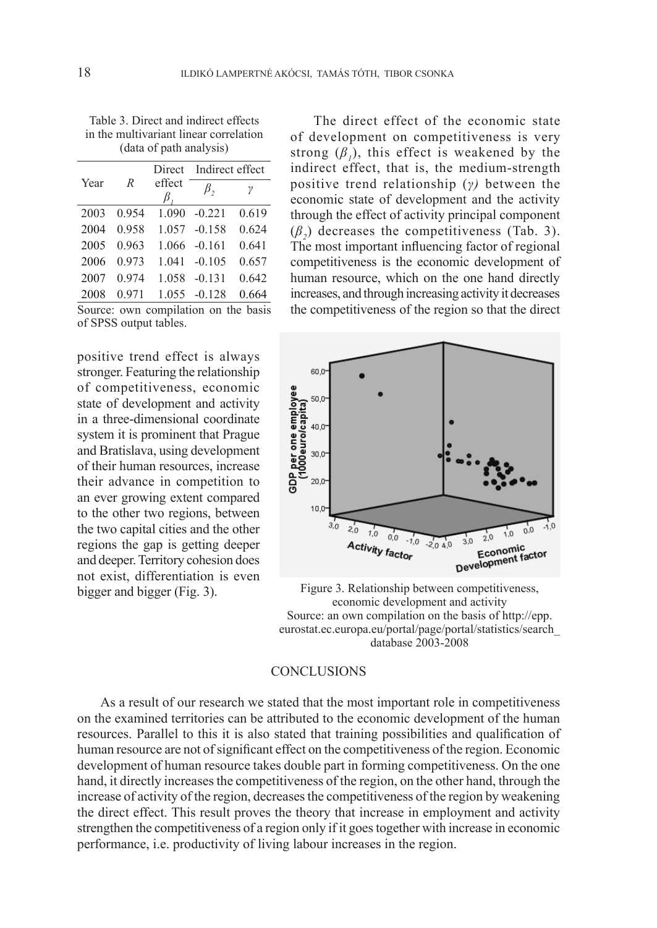Table 3. Direct and indirect effects in the multivariant linear correlation (data of path analysis)

|                                      |       |        | Direct Indirect effect |       |  |
|--------------------------------------|-------|--------|------------------------|-------|--|
| Year                                 | R     | effect | $\beta$ ,              | γ     |  |
|                                      |       | В.     |                        |       |  |
| 2003                                 | 0.954 | 1.090  | $-0.221$               | 0.619 |  |
| 2004                                 | 0.958 |        | 1.057 -0.158           | 0.624 |  |
| 2005                                 | 0.963 | 1.066  | $-0.161$               | 0.641 |  |
| 2006                                 | 0.973 | 1.041  | $-0.105$               | 0.657 |  |
| 2007                                 | 0.974 |        | 1.058 -0.131           | 0.642 |  |
| 2008                                 | 0.971 |        | 1.055 -0.128           | 0.664 |  |
| Source: own compilation on the basis |       |        |                        |       |  |

of SPSS output tables.

positive trend effect is always stronger. Featuring the relationship of competitiveness, economic state of development and activity in a three-dimensional coordinate system it is prominent that Prague and Bratislava, using development of their human resources, increase their advance in competition to an ever growing extent compared to the other two regions, between the two capital cities and the other regions the gap is getting deeper and deeper. Territory cohesion does not exist, differentiation is even bigger and bigger (Fig. 3).

The direct effect of the economic state of development on competitiveness is very strong  $(\beta_l)$ , this effect is weakened by the indirect effect, that is, the medium-strength positive trend relationship (*γ)* between the economic state of development and the activity through the effect of activity principal component  $(\beta_2)$  decreases the competitiveness (Tab. 3). The most important influencing factor of regional competitiveness is the economic development of human resource, which on the one hand directly increases, and through increasing activity it decreases the competitiveness of the region so that the direct



Figure 3. Relationship between competitiveness, economic development and activity Source: an own compilation on the basis of http://epp. eurostat.ec.europa.eu/portal/page/portal/statistics/search\_ database 2003-2008

#### **CONCLUSIONS**

As a result of our research we stated that the most important role in competitiveness on the examined territories can be attributed to the economic development of the human resources. Parallel to this it is also stated that training possibilities and qualification of human resource are not of significant effect on the competitiveness of the region. Economic development of human resource takes double part in forming competitiveness. On the one hand, it directly increases the competitiveness of the region, on the other hand, through the increase of activity of the region, decreases the competitiveness of the region by weakening the direct effect. This result proves the theory that increase in employment and activity strengthen the competitiveness of a region only if it goes together with increase in economic performance, i.e. productivity of living labour increases in the region.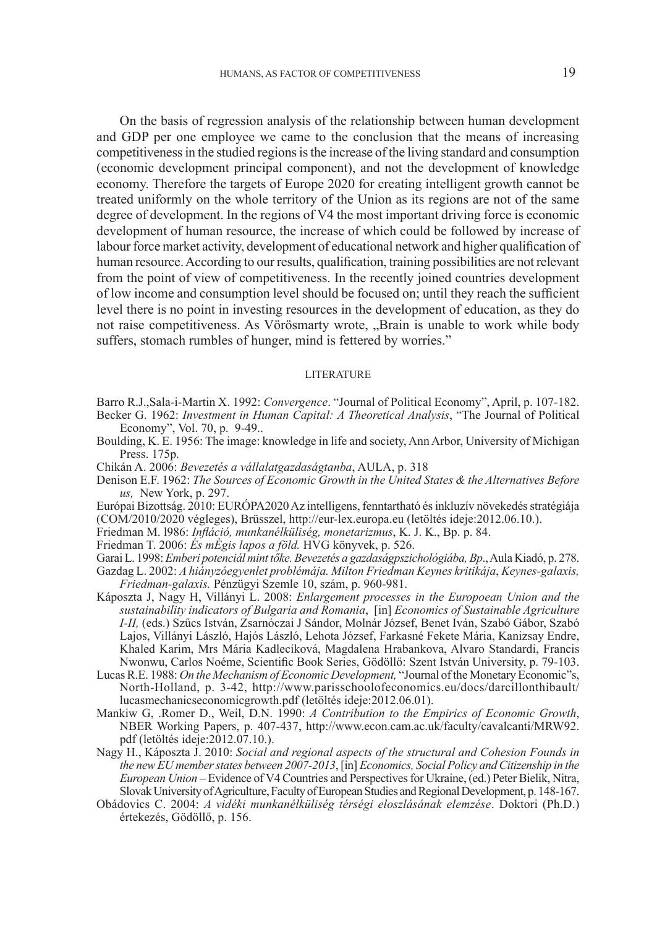On the basis of regression analysis of the relationship between human development and GDP per one employee we came to the conclusion that the means of increasing competitiveness in the studied regions is the increase of the living standard and consumption (economic development principal component), and not the development of knowledge economy. Therefore the targets of Europe 2020 for creating intelligent growth cannot be treated uniformly on the whole territory of the Union as its regions are not of the same degree of development. In the regions of V4 the most important driving force is economic development of human resource, the increase of which could be followed by increase of labour force market activity, development of educational network and higher qualification of human resource. According to our results, qualification, training possibilities are not relevant from the point of view of competitiveness. In the recently joined countries development of low income and consumption level should be focused on; until they reach the sufficient level there is no point in investing resources in the development of education, as they do not raise competitiveness. As Vörösmarty wrote, "Brain is unable to work while body suffers, stomach rumbles of hunger, mind is fettered by worries."

#### **LITERATURE**

- Barro R.J.,Sala-i-Martin X. 1992: *Convergence*. "Journal of Political Economy", April, p. 107-182.
- Becker G. 1962: *Investment in Human Capital: A Theoretical Analysis*, "The Journal of Political Economy", Vol. 70, p. 9-49..
- Boulding, K. E. 1956: The image: knowledge in life and society, Ann Arbor, University of Michigan Press. 175p.
- Chikán A. 2006: *Bevezetés a vállalatgazdaságtanba*, AULA, p. 318
- Denison E.F. 1962: *The Sources of Economic Growth in the United States & the Alternatives Before us,* New York, p. 297.
- Európai Bizottság. 2010: EURÓPA2020 Az intelligens, fenntartható és inkluzív növekedés stratégiája (COM/2010/2020 végleges), Brüsszel, http://eur-lex.europa.eu (letöltés ideje:2012.06.10.).
- Friedman M. l986: *Infláció, munkanélküliség, monetarizmus*, K. J. K., Bp. p. 84.
- Friedman T. 2006: *És mÈgis lapos a föld.* HVG könyvek, p. 526.
- Garai L. 1998:*Emberi potenciál mint tőke. Bevezetés a gazdaságpszichológiába,Bp*., Aula Kiadó, p. 278.
- Gazdag L. 2002: *A hiányzóegyenlet problémája. Milton Friedman Keynes kritikája*, *Keynes-galaxis, Friedman-galaxis.* Pénzügyi Szemle 10, szám, p. 960-981.
- Káposzta J, Nagy H, Villányi L. 2008: *Enlargement processes in the Europoean Union and the sustainability indicators of Bulgaria and Romania*, [in] *Economics of Sustainable Agriculture I-II,* (eds.) Szűcs István, Zsarnóczai J Sándor, Molnár József, Benet Iván, Szabó Gábor, Szabó Lajos, Villányi László, Hajós László, Lehota József, Farkasné Fekete Mária, Kanizsay Endre, Khaled Karim, Mrs Mária Kadlecíková, Magdalena Hrabankova, Alvaro Standardi, Francis Nwonwu, Carlos Noéme, Scientific Book Series, Gödöllő: Szent István University, p. 79-103.
- Lucas R.E. 1988: *On the Mechanism of Economic Development,* "Journal of the Monetary Economic"s, North-Holland, p. 3-42, http://www.parisschoolofeconomics.eu/docs/darcillonthibault/ lucasmechanicseconomicgrowth.pdf (letöltés ideje:2012.06.01).
- Mankiw G, .Romer D., Weil, D.N. 1990: *A Contribution to the Empirics of Economic Growth*, NBER Working Papers, p. 407-437, http://www.econ.cam.ac.uk/faculty/cavalcanti/MRW92. pdf (letöltés ideje:2012.07.10.).
- Nagy H., Káposzta J. 2010: *Social and regional aspects of the structural and Cohesion Founds in the new EU member states between 2007-2013*, [in] *Economics, Social Policy and Citizenship in the European Union* – Evidence of V4 Countries and Perspectives for Ukraine, (ed.) Peter Bielik, Nitra, Slovak University of Agriculture, Faculty of European Studies and Regional Development, p. 148-167.
- Obádovics C. 2004: *A vidéki munkanélküliség térségi eloszlásának elemzése*. Doktori (Ph.D.) értekezés, Gödöllő, p. 156.